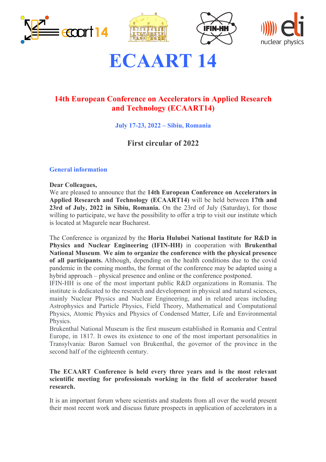







# **ECAART 14**

# **14th European Conference on Accelerators in Applied Research and Technology (ECAART14)**

**July 17-23, 2022 – Sibiu, Romania**

# **First circular of 2022**

## **General information**

### **Dear Colleagues,**

We are pleased to announce that the **14th European Conference on Accelerators in Applied Research and Technology (ECAART14)** will be held between **17th and 23rd of July, 2022 in Sibiu, Romania.** On the 23rd of July (Saturday), for those willing to participate, we have the possibility to offer a trip to visit our institute which is located at Magurele near Bucharest.

The Conference is organized by the **Horia Hulubei National Institute for R&D in Physics and Nuclear Engineering (IFIN-HH)** in cooperation with **Brukenthal National Museum**. **We aim to organize the conference with the physical presence of all participants.** Although, depending on the health conditions due to the covid pandemic in the coming months, the format of the conference may be adapted using a hybrid approach – physical presence and online or the conference postponed.

IFIN-HH is one of the most important public R&D organizations in Romania. The institute is dedicated to the research and development in physical and natural sciences, mainly Nuclear Physics and Nuclear Engineering, and in related areas including Astrophysics and Particle Physics, Field Theory, Mathematical and Computational Physics, Atomic Physics and Physics of Condensed Matter, Life and Environmental Physics.

Brukenthal National Museum is the first museum established in Romania and Central Europe, in 1817. It owes its existence to one of the most important personalities in Transylvania: Baron Samuel von Brukenthal, the governor of the province in the second half of the eighteenth century.

### **The ECAART Conference is held every three years and is the most relevant scientific meeting for professionals working in the field of accelerator based research.**

It is an important forum where scientists and students from all over the world present their most recent work and discuss future prospects in application of accelerators in a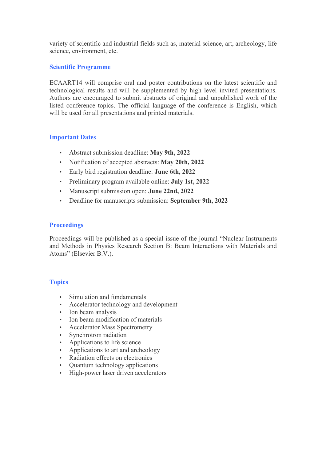variety of scientific and industrial fields such as, material science, art, archeology, life science, environment, etc.

#### **Scientific Programme**

ECAART14 will comprise oral and poster contributions on the latest scientific and technological results and will be supplemented by high level invited presentations. Authors are encouraged to submit abstracts of original and unpublished work of the listed conference topics. The official language of the conference is English, which will be used for all presentations and printed materials.

## **Important Dates**

- Abstract submission deadline: **May 9th, 2022**
- Notification of accepted abstracts: **May 20th, 2022**
- Early bird registration deadline: **June 6th, 2022**
- Preliminary program available online: **July 1st, 2022**
- Manuscript submission open: **June 22nd, 2022**
- Deadline for manuscripts submission: **September 9th, 2022**

### **Proceedings**

Proceedings will be published as a special issue of the journal "Nuclear Instruments and Methods in Physics Research Section B: Beam Interactions with Materials and Atoms" (Elsevier B.V.).

#### **Topics**

- Simulation and fundamentals
- Accelerator technology and development
- Ion beam analysis
- Ion beam modification of materials
- Accelerator Mass Spectrometry
- Synchrotron radiation
- Applications to life science
- Applications to art and archeology
- Radiation effects on electronics
- Ouantum technology applications
- High-power laser driven accelerators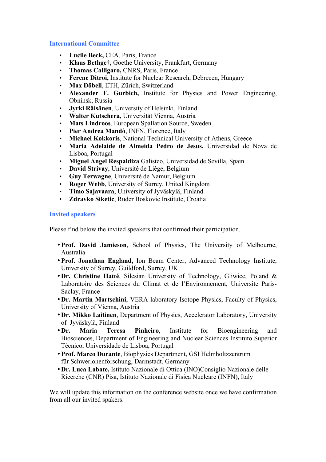### **International Committee**

- **Lucile Beck,** CEA, Paris, France
- **Klaus Bethge†,** Goethe University, Frankfurt, Germany
- **Thomas Calligaro,** CNRS, Paris, France
- **Ferenc Ditroi,** Institute for Nuclear Research, Debrecen, Hungary
- **Max Döbeli**, ETH, Zürich, Switzerland
- **Alexander F. Gurbich,** Institute for Physics and Power Engineering, Obninsk, Russia
- **Jyrki Räisänen**, University of Helsinki, Finland
- **Walter Kutschera**, Universität Vienna, Austria
- **Mats Lindroos**, European Spallation Source, Sweden
- **Pier Andrea Mandò**, INFN, Florence, Italy
- **Michael Kokkoris**, National Technical University of Athens, Greece
- **Maria Adelaide de Almeida Pedro de Jesus,** Universidad de Nova de Lisboa, Portugal
- **Miguel Angel Respaldiza** Galisteo, Universidad de Sevilla, Spain
- **David Strivay**, Université de Liège, Belgium
- **Guy Terwagne**, Université de Namur, Belgium
- **Roger Webb**, University of Surrey, United Kingdom
- **Timo Sajavaara**, University of Jyväskylä, Finland
- **Zdravko Siketic**, Ruder Boskovic Institute, Croatia

#### **Invited speakers**

Please find below the invited speakers that confirmed their participation.

- •**Prof. David Jamieson**, School of Physics, The University of Melbourne, Australia
- •**Prof. Jonathan England,** Ion Beam Center, Advanced Technology Institute, University of Surrey, Guildford, Surrey, UK
- •**Dr. Christine Hatté**, Silesian University of Technology, Gliwice, Poland & Laboratoire des Sciences du Climat et de l'Environnement, Universite Paris-Saclay, France
- •**Dr. Martin Martschini**, VERA laboratory-Isotope Physics, Faculty of Physics, University of Vienna, Austria
- •**Dr. Mikko Laitinen**, Department of Physics, Accelerator Laboratory, University of Jyväskylä, Finland
- •**Dr. Maria Teresa Pinheiro**, Institute for Bioengineering and Biosciences, Department of Engineering and Nuclear Sciences Instituto Superior Técnico, Universidade de Lisboa, Portugal
- •**Prof. Marco Durante**, Biophysics Department, GSI Helmholtzzentrum für Schwerionenforschung, Darmstadt, Germany
- •**Dr. Luca Labate,** Istituto Nazionale di Ottica (INO)Consiglio Nazionale delle Ricerche (CNR) Pisa, Istituto Nazionale di Fisica Nucleare (INFN), Italy

We will update this information on the conference website once we have confirmation from all our invited spakers.